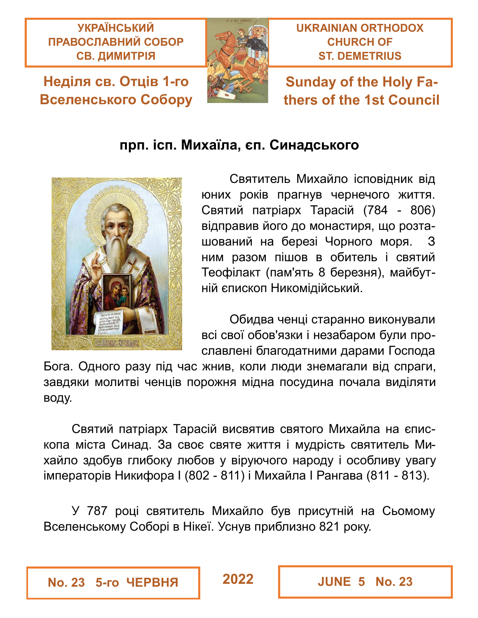**УКРАЇНСЬКИЙ ПРАВОСЛАВНИЙ СОБОР СВ. ДИМИТРІЯ**

## **Неділя св. Отців 1-го Вселенського Собору**



**UKRAINIAN ORTHODOX CHURCH OF ST. DEMETRIUS**

**Sunday of the Holy Fathers of the 1st Council** 

## **прп. ісп. Михаїла, єп. Синадського**



Святитель Михайло ісповідник від юних років прагнув чернечого життя. Святий патріарх Тарасій (784 - 806) відправив його до монастиря, що розташований на березі Чорного моря. З ним разом пішов в обитель і святий Теофілакт (пам'ять 8 березня), майбутній єпископ Никомідійський.

Обидва ченці старанно виконували всі свої обов'язки і незабаром були прославлені благодатними дарами Господа

Бога. Одного разу під час жнив, коли люди знемагали від спраги, завдяки молитві ченців порожня мідна посудина почала виділяти воду.

Cвятий патріарх Тарасій висвятив святого Михайла на єпископа міста Синад. За своє святе життя і мудрість святитель Михайло здобув глибоку любов у віруючого народу і особливу увагу імператорів Никифора I (802 - 811) і Михайла I Рангава (811 - 813).

У 787 році святитель Михайло був присутній на Сьомому Вселенському Соборі в Нікеї. Уснув приблизно 821 року.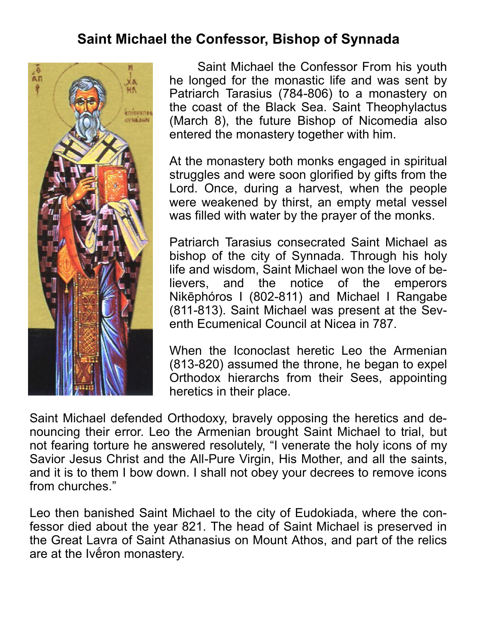## **Saint Michael the Confessor, Bishop of Synnada**



Saint Michael the Confessor From his youth he longed for the monastic life and was sent by Patriarch Tarasius (784-806) to a monastery on the coast of the Black Sea. Saint Theophylactus (March 8), the future Bishop of Nicomedia also entered the monastery together with him.

At the monastery both monks engaged in spiritual struggles and were soon glorified by gifts from the Lord. Once, during a harvest, when the people were weakened by thirst, an empty metal vessel was filled with water by the prayer of the monks.

Patriarch Tarasius consecrated Saint Michael as bishop of the city of Synnada. Through his holy life and wisdom, Saint Michael won the love of be-<br>lievers, and the notice of the emperors lievers, and the notice of the emperors Nikēphóros I (802-811) and Michael I Rangabe (811-813). Saint Michael was present at the Seventh Ecumenical Council at Nicea in 787.

When the Iconoclast heretic Leo the Armenian (813-820) assumed the throne, he began to expel Orthodox hierarchs from their Sees, appointing heretics in their place.

Saint Michael defended Orthodoxy, bravely opposing the heretics and denouncing their error. Leo the Armenian brought Saint Michael to trial, but not fearing torture he answered resolutely, "I venerate the holy icons of my Savior Jesus Christ and the All-Pure Virgin, His Mother, and all the saints, and it is to them I bow down. I shall not obey your decrees to remove icons from churches."

Leo then banished Saint Michael to the city of Eudokiada, where the confessor died about the year 821. The head of Saint Michael is preserved in the Great Lavra of Saint Athanasius on Mount Athos, and part of the relics are at the Ivḗron monastery.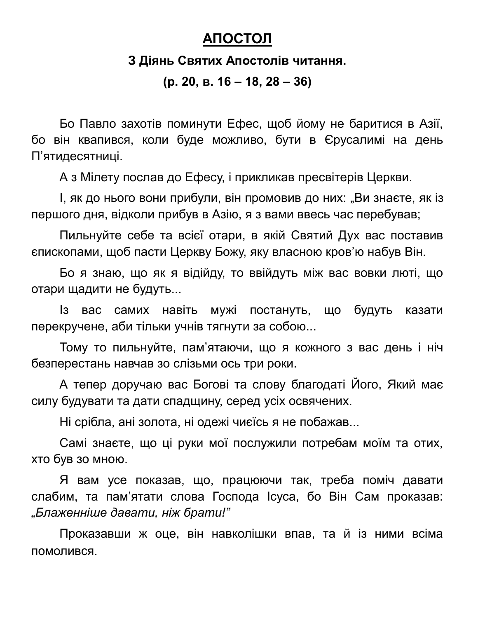## **АПОСТОЛ**

## **З Діянь Святих Апостолів читання.**

**(р. 20, в. 16 – 18, 28 – 36)**

Бо Павло захотів поминути Ефес, щоб йому не баритися в Азії, бо він квапився, коли буде можливо, бути в Єрусалимі на день П'ятидесятниці.

А з Мілету послав до Ефесу, і прикликав пресвітерів Церкви.

I, як до нього вони прибули, він промовив до них: "Ви знаєте, як із першого дня, відколи прибув в Азію, я з вами ввесь час перебував;

Пильнуйте себе та всієї отари, в якій Святий Дух вас поставив єпископами, щоб пасти Церкву Божу, яку власною кров'ю набув Він.

Бо я знаю, що як я відійду, то ввійдуть між вас вовки люті, що отари щадити не будуть...

Із вас самих навіть мужі постануть, що будуть казати перекручене, аби тільки учнів тягнути за собою...

Тому то пильнуйте, пам'ятаючи, що я кожного з вас день і ніч безперестань навчав зо слізьми ось три роки.

А тепер доручаю вас Богові та слову благодаті Його, Який має силу будувати та дати спадщину, серед усіх освячених.

Ні срібла, ані золота, ні одежі чиєїсь я не побажав...

Самі знаєте, що ці руки мої послужили потребам моїм та отих, хто був зо мною.

Я вам усе показав, що, працюючи так, треба поміч давати слабим, та пам'ятати слова Господа Ісуса, бо Він Сам проказав: *"Блаженніше давати, ніж брати!"*

Проказавши ж оце, він навколішки впав, та й із ними всіма помолився.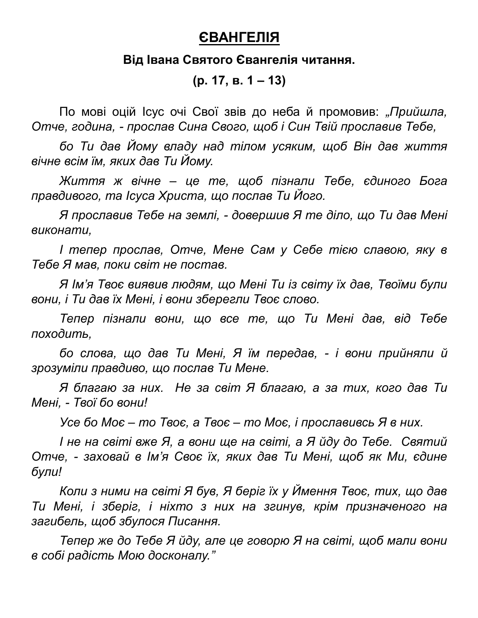## **ЄВАНГЕЛІЯ**

### **Від Івана Святого Євангелія читання.**

**(р. 17, в. 1 – 13)**

По мові оцій Ісус очі Свої звів до неба й промовив: *"Прийшла, Отче, година, - прослав Сина Свого, щоб і Син Твій прославив Тебе,*

*бо Ти дав Йому владу над тілом усяким, щоб Він дав життя вічне всім їм, яких дав Ти Йому.*

*Життя ж вічне – це те, щоб пізнали Тебе, єдиного Бога правдивого, та Ісуса Христа, що послав Ти Його.*

*Я прославив Тебе на землі, - довершив Я те діло, що Ти дав Мені виконати,*

*І тепер прослав, Отче, Мене Сам у Себе тією славою, яку в Тебе Я мав, поки світ не постав.*

*Я Ім'я Твоє виявив людям, що Мені Ти із світу їх дав, Твоїми були вони, і Ти дав їх Мені, і вони зберегли Твоє слово.*

*Тепер пізнали вони, що все те, що Ти Мені дав, від Тебе походить,*

*бо слова, що дав Ти Мені, Я їм передав, - і вони прийняли й зрозуміли правдиво, що послав Ти Мене.*

*Я благаю за них. Не за світ Я благаю, а за тих, кого дав Ти Мені, - Твої бо вони!*

*Усе бо Моє – то Твоє, а Твоє – то Моє, і прославивсь Я в них.*

*І не на світі вже Я, а вони ще на світі, а Я йду до Тебе. Святий Отче, - заховай в Ім'я Своє їх, яких дав Ти Мені, щоб як Ми, єдине були!*

*Коли з ними на світі Я був, Я беріг їх у Ймення Твоє, тих, що дав Ти Мені, і зберіг, і ніхто з них на згинув, крім призначеного на загибель, щоб збулося Писання.*

*Тепер же до Тебе Я йду, але це говорю Я на світі, щоб мали вони в собі радість Мою досконалу."*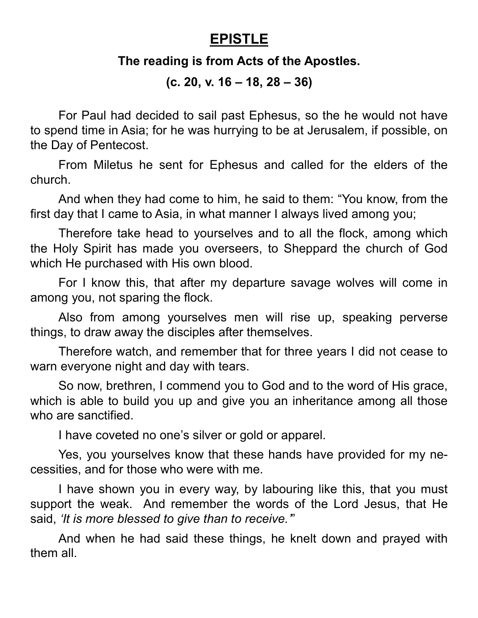## **EPISTLE**

## **The reading is from Acts of the Apostles.**

**(c. 20, v. 16 – 18, 28 – 36)**

For Paul had decided to sail past Ephesus, so the he would not have to spend time in Asia; for he was hurrying to be at Jerusalem, if possible, on the Day of Pentecost.

From Miletus he sent for Ephesus and called for the elders of the church.

And when they had come to him, he said to them: "You know, from the first day that I came to Asia, in what manner I always lived among you;

Therefore take head to yourselves and to all the flock, among which the Holy Spirit has made you overseers, to Sheppard the church of God which He purchased with His own blood.

For I know this, that after my departure savage wolves will come in among you, not sparing the flock.

Also from among yourselves men will rise up, speaking perverse things, to draw away the disciples after themselves.

Therefore watch, and remember that for three years I did not cease to warn everyone night and day with tears.

So now, brethren, I commend you to God and to the word of His grace, which is able to build you up and give you an inheritance among all those who are sanctified.

I have coveted no one's silver or gold or apparel.

Yes, you yourselves know that these hands have provided for my necessities, and for those who were with me.

I have shown you in every way, by labouring like this, that you must support the weak. And remember the words of the Lord Jesus, that He said, *'It is more blessed to give than to receive.'*"

And when he had said these things, he knelt down and prayed with them all.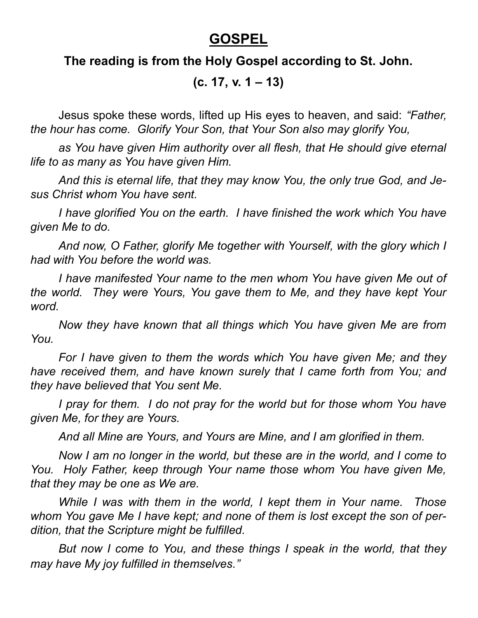## **GOSPEL**

**The reading is from the Holy Gospel according to St. John.**

**(c. 17, v. 1 – 13)**

Jesus spoke these words, lifted up His eyes to heaven, and said: *"Father, the hour has come. Glorify Your Son, that Your Son also may glorify You,*

*as You have given Him authority over all flesh, that He should give eternal life to as many as You have given Him.*

*And this is eternal life, that they may know You, the only true God, and Jesus Christ whom You have sent.*

*I have glorified You on the earth. I have finished the work which You have given Me to do.*

*And now, O Father, glorify Me together with Yourself, with the glory which I had with You before the world was.*

*I have manifested Your name to the men whom You have given Me out of the world. They were Yours, You gave them to Me, and they have kept Your word.*

*Now they have known that all things which You have given Me are from You.*

*For I have given to them the words which You have given Me; and they have received them, and have known surely that I came forth from You; and they have believed that You sent Me.*

*I pray for them. I do not pray for the world but for those whom You have given Me, for they are Yours.*

*And all Mine are Yours, and Yours are Mine, and I am glorified in them.*

*Now I am no longer in the world, but these are in the world, and I come to You. Holy Father, keep through Your name those whom You have given Me, that they may be one as We are.*

*While I was with them in the world, I kept them in Your name. Those whom You gave Me I have kept; and none of them is lost except the son of perdition, that the Scripture might be fulfilled.*

*But now I come to You, and these things I speak in the world, that they may have My joy fulfilled in themselves."*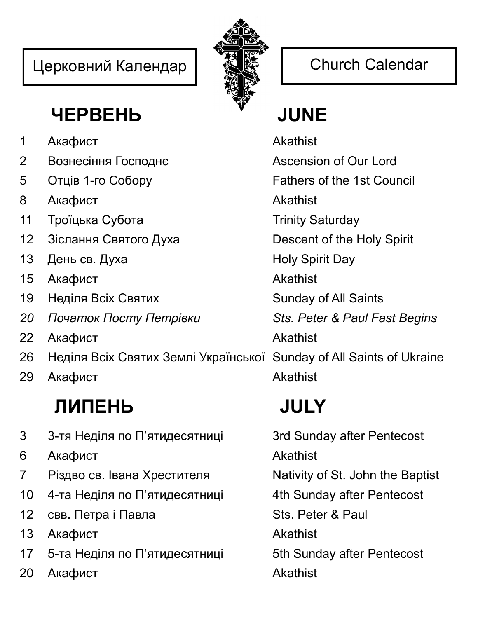## Церковний Календар | Kurch Calendar



# **ЧЕРВЕНЬ JUNE**

- 1 Акафист **Akathist**
- 2 Вознесіння Господнє Ascension of Our Lord
- 
- 8 Акафист **Akathist**
- 11 Троїцька Субота Trinity Saturday
- 12 Зіслання Святого Духа Descent of the Holy Spirit
- 13 День св. Духа Holy Spirit Day
- 15 Акафист **Akathist**
- 19 Неділя Всіх Святих Sunday of All Saints
- *20 Початок Посту Петрівки Sts. Peter & Paul Fast Begins*
- 22 Акафист **Akathist**
- 26 Неділя Всіх Святих Землі Української Sunday of All Saints of Ukraine
- 29 Акафист **Akathist**

# **ЛИПЕНЬ JULY**

- 3 3-тя Неділя по П'ятидесятниці 3rd Sunday after Pentecost
- 6 Акафист **Akathist**
- 7 Різдво св. Івана Хрестителя Nativity of St. John the Baptist
- 10 4-та Неділя по П'ятидесятниці 4th Sunday after Pentecost
- 12 свв. Петра і Павла Sts. Peter & Paul
- 13 Акафист **Akathist**
- 17 5-та Неділя по П'ятидесятниці 5th Sunday after Pentecost
- 20 Акафист **Akathist**

5 Отців 1-го Собору Fathers of the 1st Council